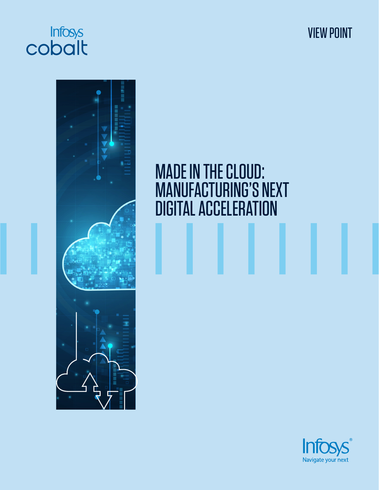

VIEW POINT



# MADE IN THE CLOUD: MANUFACTURING'S NEXT DIGITAL ACCELERATION

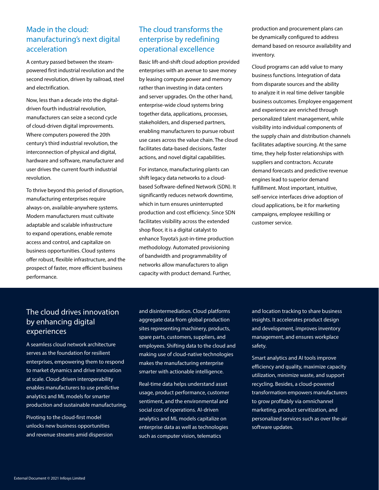# Made in the cloud: manufacturing's next digital acceleration

A century passed between the steampowered first industrial revolution and the second revolution, driven by railroad, steel and electrification.

Now, less than a decade into the digitaldriven fourth industrial revolution, manufacturers can seize a second cycle of cloud-driven digital improvements. Where computers powered the 20th century's third industrial revolution, the interconnection of physical and digital, hardware and software, manufacturer and user drives the current fourth industrial revolution.

To thrive beyond this period of disruption, manufacturing enterprises require always-on, available-anywhere systems. Modern manufacturers must cultivate adaptable and scalable infrastructure to expand operations, enable remote access and control, and capitalize on business opportunities. Cloud systems offer robust, flexible infrastructure, and the prospect of faster, more efficient business performance.

# The cloud transforms the enterprise by redefining operational excellence

Basic lift-and-shift cloud adoption provided enterprises with an avenue to save money by leasing compute power and memory rather than investing in data centers and server upgrades. On the other hand, enterprise-wide cloud systems bring together data, applications, processes, stakeholders, and dispersed partners, enabling manufacturers to pursue robust use cases across the value chain. The cloud facilitates data-based decisions, faster actions, and novel digital capabilities.

For instance, manufacturing plants can shift legacy data networks to a cloudbased Software-defined Network (SDN). It significantly reduces network downtime, which in turn ensures uninterrupted production and cost efficiency. Since SDN facilitates visibility across the extended shop floor, it is a digital catalyst to enhance Toyota's just-in-time production methodology. Automated provisioning of bandwidth and programmability of networks allow manufacturers to align capacity with product demand. Further,

production and procurement plans can be dynamically configured to address demand based on resource availability and inventory.

Cloud programs can add value to many business functions. Integration of data from disparate sources and the ability to analyze it in real time deliver tangible business outcomes. Employee engagement and experience are enriched through personalized talent management, while visibility into individual components of the supply chain and distribution channels facilitates adaptive sourcing. At the same time, they help foster relationships with suppliers and contractors. Accurate demand forecasts and predictive revenue engines lead to superior demand fulfillment. Most important, intuitive, self-service interfaces drive adoption of cloud applications, be it for marketing campaigns, employee reskilling or customer service.

# The cloud drives innovation by enhancing digital experiences

A seamless cloud network architecture serves as the foundation for resilient enterprises, empowering them to respond to market dynamics and drive innovation at scale. Cloud-driven interoperability enables manufacturers to use predictive analytics and ML models for smarter production and sustainable manufacturing.

Pivoting to the cloud-first model unlocks new business opportunities and revenue streams amid dispersion and disintermediation. Cloud platforms aggregate data from global production sites representing machinery, products, spare parts, customers, suppliers, and employees. Shifting data to the cloud and making use of cloud-native technologies makes the manufacturing enterprise smarter with actionable intelligence.

Real-time data helps understand asset usage, product performance, customer sentiment, and the environmental and social cost of operations. AI-driven analytics and ML models capitalize on enterprise data as well as technologies such as computer vision, telematics

and location tracking to share business insights. It accelerates product design and development, improves inventory management, and ensures workplace safety.

Smart analytics and AI tools improve efficiency and quality, maximize capacity utilization, minimize waste, and support recycling. Besides, a cloud-powered transformation empowers manufacturers to grow profitably via omnichannel marketing, product servitization, and personalized services such as over the-air software updates.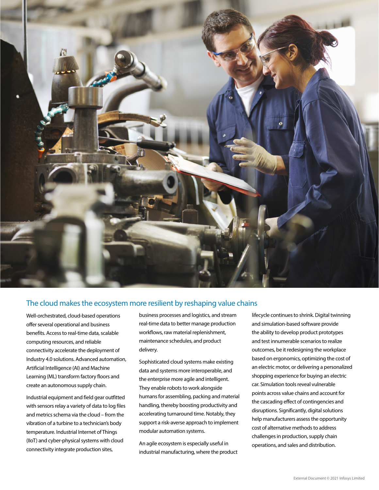

### The cloud makes the ecosystem more resilient by reshaping value chains

Well-orchestrated, cloud-based operations offer several operational and business benefits. Access to real-time data, scalable computing resources, and reliable connectivity accelerate the deployment of Industry 4.0 solutions. Advanced automation, Artificial Intelligence (AI) and Machine Learning (ML) transform factory floors and create an autonomous supply chain.

Industrial equipment and field gear outfitted with sensors relay a variety of data to log files and metrics schema via the cloud – from the vibration of a turbine to a technician's body temperature. Industrial Internet of Things (IIoT) and cyber-physical systems with cloud connectivity integrate production sites,

business processes and logistics, and stream real-time data to better manage production workflows, raw material replenishment, maintenance schedules, and product delivery.

Sophisticated cloud systems make existing data and systems more interoperable, and the enterprise more agile and intelligent. They enable robots to work alongside humans for assembling, packing and material handling, thereby boosting productivity and accelerating turnaround time. Notably, they support a risk-averse approach to implement modular automation systems.

An agile ecosystem is especially useful in industrial manufacturing, where the product

lifecycle continues to shrink. Digital twinning and simulation-based software provide the ability to develop product prototypes and test innumerable scenarios to realize outcomes, be it redesigning the workplace based on ergonomics, optimizing the cost of an electric motor, or delivering a personalized shopping experience for buying an electric car. Simulation tools reveal vulnerable points across value chains and account for the cascading effect of contingencies and disruptions. Significantly, digital solutions help manufacturers assess the opportunity cost of alternative methods to address challenges in production, supply chain operations, and sales and distribution.